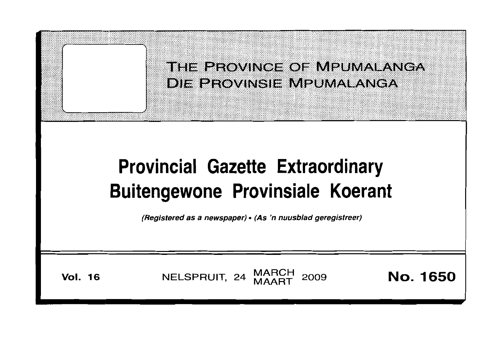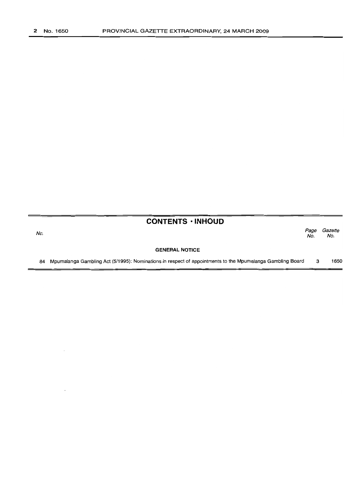No.

## **CONTENTS· INHOUD**

Page Gazette<br>No. No. No. No.

#### **GENERAL NOTICE**

84 Mpumalanga Gambling Act (5/1995): Nominations in respect of appointments to the Mpumalanga Gambling Board 3 1650